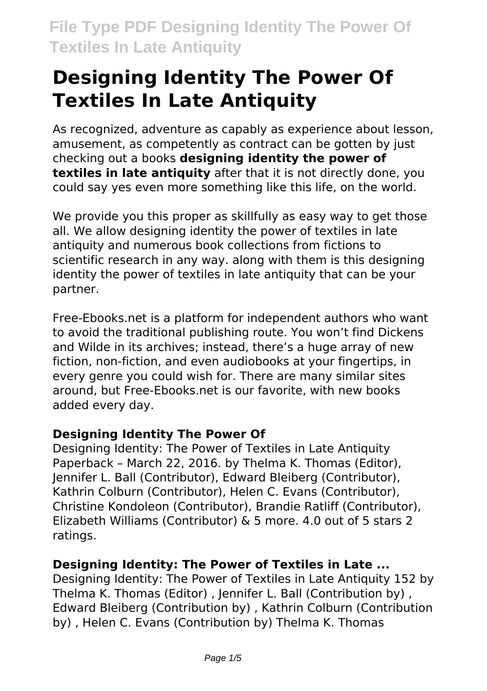# **Designing Identity The Power Of Textiles In Late Antiquity**

As recognized, adventure as capably as experience about lesson, amusement, as competently as contract can be gotten by just checking out a books **designing identity the power of textiles in late antiquity** after that it is not directly done, you could say yes even more something like this life, on the world.

We provide you this proper as skillfully as easy way to get those all. We allow designing identity the power of textiles in late antiquity and numerous book collections from fictions to scientific research in any way. along with them is this designing identity the power of textiles in late antiquity that can be your partner.

Free-Ebooks.net is a platform for independent authors who want to avoid the traditional publishing route. You won't find Dickens and Wilde in its archives; instead, there's a huge array of new fiction, non-fiction, and even audiobooks at your fingertips, in every genre you could wish for. There are many similar sites around, but Free-Ebooks.net is our favorite, with new books added every day.

# **Designing Identity The Power Of**

Designing Identity: The Power of Textiles in Late Antiquity Paperback – March 22, 2016. by Thelma K. Thomas (Editor), Jennifer L. Ball (Contributor), Edward Bleiberg (Contributor), Kathrin Colburn (Contributor), Helen C. Evans (Contributor), Christine Kondoleon (Contributor), Brandie Ratliff (Contributor), Elizabeth Williams (Contributor) & 5 more. 4.0 out of 5 stars 2 ratings.

# **Designing Identity: The Power of Textiles in Late ...**

Designing Identity: The Power of Textiles in Late Antiquity 152 by Thelma K. Thomas (Editor) , Jennifer L. Ball (Contribution by) , Edward Bleiberg (Contribution by) , Kathrin Colburn (Contribution by) , Helen C. Evans (Contribution by) Thelma K. Thomas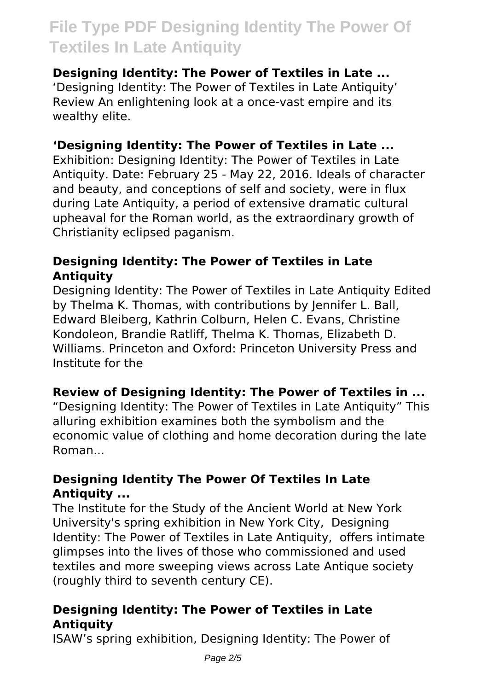#### **Designing Identity: The Power of Textiles in Late ...**

'Designing Identity: The Power of Textiles in Late Antiquity' Review An enlightening look at a once-vast empire and its wealthy elite.

#### **'Designing Identity: The Power of Textiles in Late ...**

Exhibition: Designing Identity: The Power of Textiles in Late Antiquity. Date: February 25 - May 22, 2016. Ideals of character and beauty, and conceptions of self and society, were in flux during Late Antiquity, a period of extensive dramatic cultural upheaval for the Roman world, as the extraordinary growth of Christianity eclipsed paganism.

### **Designing Identity: The Power of Textiles in Late Antiquity**

Designing Identity: The Power of Textiles in Late Antiquity Edited by Thelma K. Thomas, with contributions by Jennifer L. Ball, Edward Bleiberg, Kathrin Colburn, Helen C. Evans, Christine Kondoleon, Brandie Ratliff, Thelma K. Thomas, Elizabeth D. Williams. Princeton and Oxford: Princeton University Press and Institute for the

# **Review of Designing Identity: The Power of Textiles in ...**

"Designing Identity: The Power of Textiles in Late Antiquity" This alluring exhibition examines both the symbolism and the economic value of clothing and home decoration during the late Roman...

### **Designing Identity The Power Of Textiles In Late Antiquity ...**

The Institute for the Study of the Ancient World at New York University's spring exhibition in New York City, Designing Identity: The Power of Textiles in Late Antiquity, offers intimate glimpses into the lives of those who commissioned and used textiles and more sweeping views across Late Antique society (roughly third to seventh century CE).

# **Designing Identity: The Power of Textiles in Late Antiquity**

ISAW's spring exhibition, Designing Identity: The Power of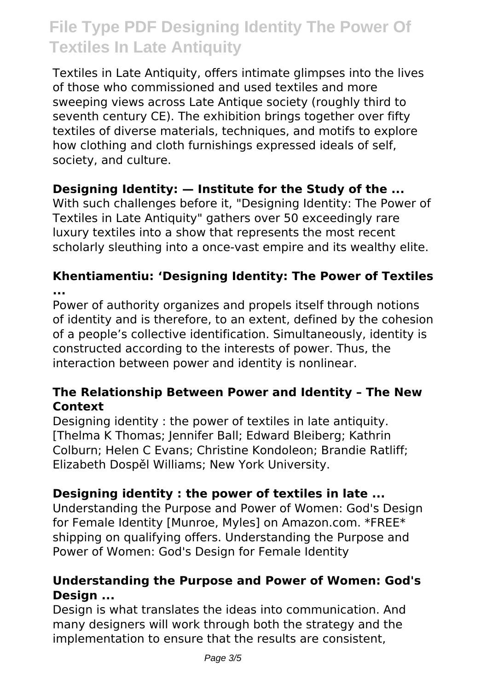Textiles in Late Antiquity, offers intimate glimpses into the lives of those who commissioned and used textiles and more sweeping views across Late Antique society (roughly third to seventh century CE). The exhibition brings together over fifty textiles of diverse materials, techniques, and motifs to explore how clothing and cloth furnishings expressed ideals of self, society, and culture.

### **Designing Identity: — Institute for the Study of the ...**

With such challenges before it, "Designing Identity: The Power of Textiles in Late Antiquity" gathers over 50 exceedingly rare luxury textiles into a show that represents the most recent scholarly sleuthing into a once-vast empire and its wealthy elite.

#### **Khentiamentiu: 'Designing Identity: The Power of Textiles ...**

Power of authority organizes and propels itself through notions of identity and is therefore, to an extent, defined by the cohesion of a people's collective identification. Simultaneously, identity is constructed according to the interests of power. Thus, the interaction between power and identity is nonlinear.

### **The Relationship Between Power and Identity – The New Context**

Designing identity : the power of textiles in late antiquity. [Thelma K Thomas; Jennifer Ball; Edward Bleiberg; Kathrin Colburn; Helen C Evans; Christine Kondoleon; Brandie Ratliff; Elizabeth Dospěl Williams; New York University.

# **Designing identity : the power of textiles in late ...**

Understanding the Purpose and Power of Women: God's Design for Female Identity [Munroe, Myles] on Amazon.com. \*FREE\* shipping on qualifying offers. Understanding the Purpose and Power of Women: God's Design for Female Identity

#### **Understanding the Purpose and Power of Women: God's Design ...**

Design is what translates the ideas into communication. And many designers will work through both the strategy and the implementation to ensure that the results are consistent,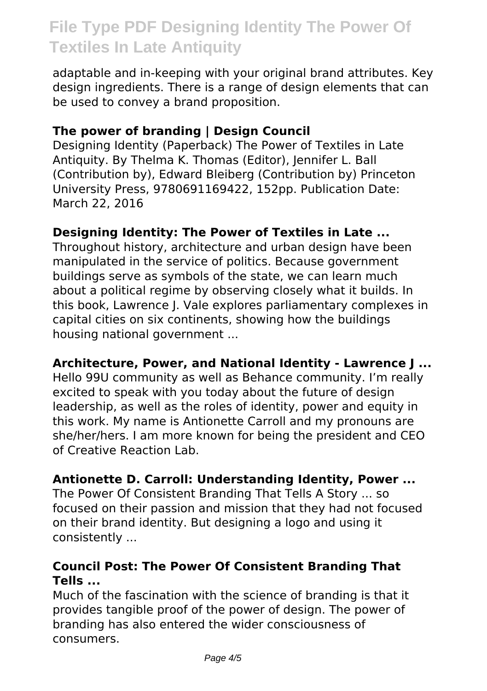adaptable and in-keeping with your original brand attributes. Key design ingredients. There is a range of design elements that can be used to convey a brand proposition.

#### **The power of branding | Design Council**

Designing Identity (Paperback) The Power of Textiles in Late Antiquity. By Thelma K. Thomas (Editor), Jennifer L. Ball (Contribution by), Edward Bleiberg (Contribution by) Princeton University Press, 9780691169422, 152pp. Publication Date: March 22, 2016

#### **Designing Identity: The Power of Textiles in Late ...**

Throughout history, architecture and urban design have been manipulated in the service of politics. Because government buildings serve as symbols of the state, we can learn much about a political regime by observing closely what it builds. In this book, Lawrence J. Vale explores parliamentary complexes in capital cities on six continents, showing how the buildings housing national government ...

#### **Architecture, Power, and National Identity - Lawrence J ...**

Hello 99U community as well as Behance community. I'm really excited to speak with you today about the future of design leadership, as well as the roles of identity, power and equity in this work. My name is Antionette Carroll and my pronouns are she/her/hers. I am more known for being the president and CEO of Creative Reaction Lab.

#### **Antionette D. Carroll: Understanding Identity, Power ...**

The Power Of Consistent Branding That Tells A Story ... so focused on their passion and mission that they had not focused on their brand identity. But designing a logo and using it consistently ...

### **Council Post: The Power Of Consistent Branding That Tells ...**

Much of the fascination with the science of branding is that it provides tangible proof of the power of design. The power of branding has also entered the wider consciousness of consumers.